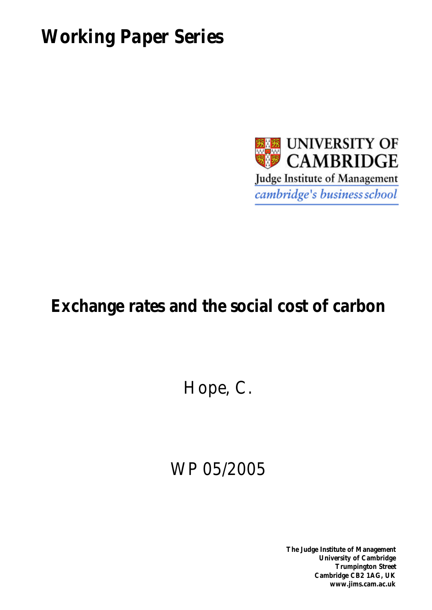# *Working Paper Series*



# **Exchange rates and the social cost of carbon**

# Hope, C.

# WP 05/2005

**The Judge Institute of Management University of Cambridge Trumpington Street Cambridge CB2 1AG, UK www.jims.cam.ac.uk**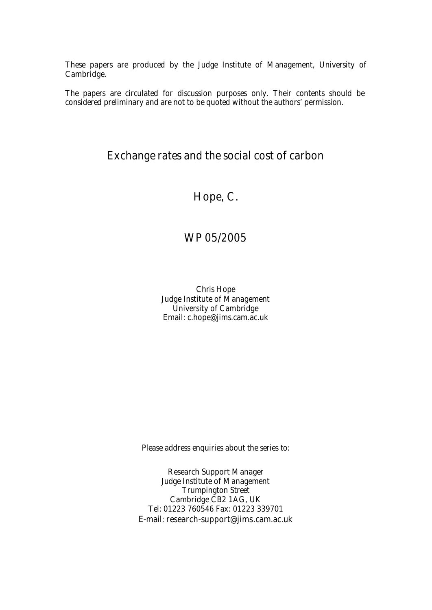These papers are produced by the Judge Institute of Management, University of Cambridge.

The papers are circulated for discussion purposes only. Their contents should be considered preliminary and are not to be quoted without the authors' permission.

# Exchange rates and the social cost of carbon

Hope, C.

# WP 05/2005

Chris Hope Judge Institute of Management University of Cambridge Email: c.hope@jims.cam.ac.uk

Please address enquiries about the series to:

Research Support Manager Judge Institute of Management Trumpington Street Cambridge CB2 1AG, UK Tel: 01223 760546 Fax: 01223 339701 E-mail: research-support@jims.cam.ac.uk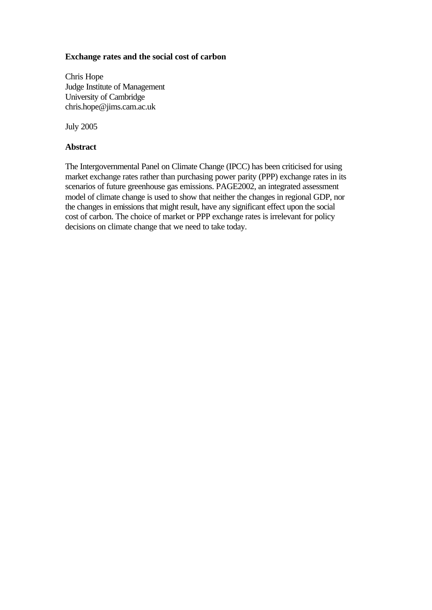#### **Exchange rates and the social cost of carbon**

Chris Hope Judge Institute of Management University of Cambridge chris.hope@jims.cam.ac.uk

July 2005

## **Abstract**

The Intergovernmental Panel on Climate Change (IPCC) has been criticised for using market exchange rates rather than purchasing power parity (PPP) exchange rates in its scenarios of future greenhouse gas emissions. PAGE2002, an integrated assessment model of climate change is used to show that neither the changes in regional GDP, nor the changes in emissions that might result, have any significant effect upon the social cost of carbon. The choice of market or PPP exchange rates is irrelevant for policy decisions on climate change that we need to take today.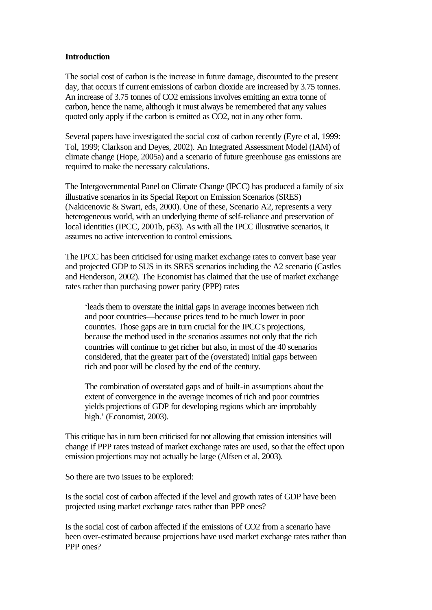#### **Introduction**

The social cost of carbon is the increase in future damage, discounted to the present day, that occurs if current emissions of carbon dioxide are increased by 3.75 tonnes. An increase of 3.75 tonnes of CO2 emissions involves emitting an extra tonne of carbon, hence the name, although it must always be remembered that any values quoted only apply if the carbon is emitted as CO2, not in any other form.

Several papers have investigated the social cost of carbon recently (Eyre et al, 1999: Tol, 1999; Clarkson and Deyes, 2002). An Integrated Assessment Model (IAM) of climate change (Hope, 2005a) and a scenario of future greenhouse gas emissions are required to make the necessary calculations.

The Intergovernmental Panel on Climate Change (IPCC) has produced a family of six illustrative scenarios in its Special Report on Emission Scenarios (SRES) (Nakicenovic & Swart, eds, 2000). One of these, Scenario A2, represents a very heterogeneous world, with an underlying theme of self-reliance and preservation of local identities (IPCC, 2001b, p63). As with all the IPCC illustrative scenarios, it assumes no active intervention to control emissions.

The IPCC has been criticised for using market exchange rates to convert base year and projected GDP to \$US in its SRES scenarios including the A2 scenario (Castles and Henderson, 2002). The Economist has claimed that the use of market exchange rates rather than purchasing power parity (PPP) rates

'leads them to overstate the initial gaps in average incomes between rich and poor countries—because prices tend to be much lower in poor countries. Those gaps are in turn crucial for the IPCC's projections, because the method used in the scenarios assumes not only that the rich countries will continue to get richer but also, in most of the 40 scenarios considered, that the greater part of the (overstated) initial gaps between rich and poor will be closed by the end of the century.

The combination of overstated gaps and of built-in assumptions about the extent of convergence in the average incomes of rich and poor countries yields projections of GDP for developing regions which are improbably high.' (Economist, 2003).

This critique has in turn been criticised for not allowing that emission intensities will change if PPP rates instead of market exchange rates are used, so that the effect upon emission projections may not actually be large (Alfsen et al, 2003).

So there are two issues to be explored:

Is the social cost of carbon affected if the level and growth rates of GDP have been projected using market exchange rates rather than PPP ones?

Is the social cost of carbon affected if the emissions of CO2 from a scenario have been over-estimated because projections have used market exchange rates rather than PPP ones?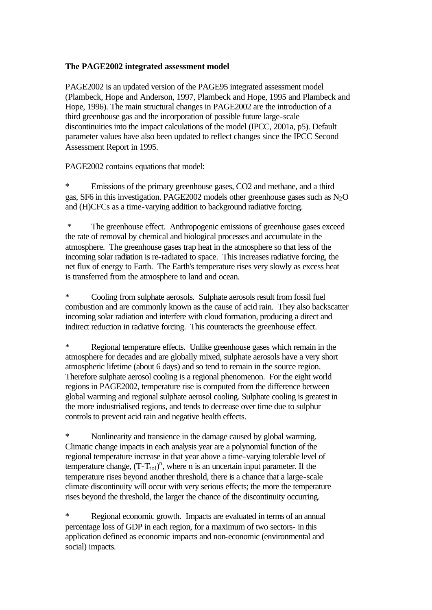## **The PAGE2002 integrated assessment model**

PAGE2002 is an updated version of the PAGE95 integrated assessment model (Plambeck, Hope and Anderson, 1997, Plambeck and Hope, 1995 and Plambeck and Hope, 1996). The main structural changes in PAGE2002 are the introduction of a third greenhouse gas and the incorporation of possible future large-scale discontinuities into the impact calculations of the model (IPCC, 2001a, p5). Default parameter values have also been updated to reflect changes since the IPCC Second Assessment Report in 1995.

PAGE2002 contains equations that model:

\* Emissions of the primary greenhouse gases, CO2 and methane, and a third gas, SF6 in this investigation. PAGE2002 models other greenhouse gases such as  $N_2O$ and (H)CFCs as a time-varying addition to background radiative forcing.

The greenhouse effect. Anthropogenic emissions of greenhouse gases exceed the rate of removal by chemical and biological processes and accumulate in the atmosphere. The greenhouse gases trap heat in the atmosphere so that less of the incoming solar radiation is re-radiated to space. This increases radiative forcing, the net flux of energy to Earth. The Earth's temperature rises very slowly as excess heat is transferred from the atmosphere to land and ocean.

\* Cooling from sulphate aerosols. Sulphate aerosols result from fossil fuel combustion and are commonly known as the cause of acid rain. They also backscatter incoming solar radiation and interfere with cloud formation, producing a direct and indirect reduction in radiative forcing. This counteracts the greenhouse effect.

\* Regional temperature effects. Unlike greenhouse gases which remain in the atmosphere for decades and are globally mixed, sulphate aerosols have a very short atmospheric lifetime (about 6 days) and so tend to remain in the source region. Therefore sulphate aerosol cooling is a regional phenomenon. For the eight world regions in PAGE2002, temperature rise is computed from the difference between global warming and regional sulphate aerosol cooling. Sulphate cooling is greatest in the more industrialised regions, and tends to decrease over time due to sulphur controls to prevent acid rain and negative health effects.

\* Nonlinearity and transience in the damage caused by global warming. Climatic change impacts in each analysis year are a polynomial function of the regional temperature increase in that year above a time-varying tolerable level of temperature change,  $(T - T_{tol})^n$ , where n is an uncertain input parameter. If the temperature rises beyond another threshold, there is a chance that a large-scale climate discontinuity will occur with very serious effects; the more the temperature rises beyond the threshold, the larger the chance of the discontinuity occurring.

Regional economic growth. Impacts are evaluated in terms of an annual percentage loss of GDP in each region, for a maximum of two sectors- in this application defined as economic impacts and non-economic (environmental and social) impacts.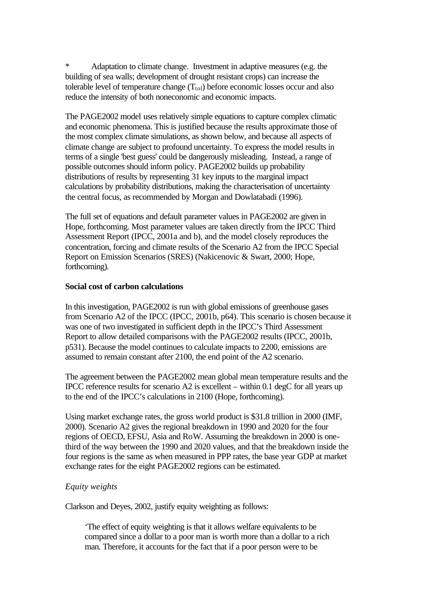Adaptation to climate change. Investment in adaptive measures (e.g. the building of sea walls; development of drought resistant crops) can increase the tolerable level of temperature change  $(T_{tol})$  before economic losses occur and also reduce the intensity of both noneconomic and economic impacts.

The PAGE2002 model uses relatively simple equations to capture complex climatic and economic phenomena. This is justified because the results approximate those of the most complex climate simulations, as shown below, and because all aspects of climate change are subject to profound uncertainty. To express the model results in terms of a single 'best guess' could be dangerously misleading. Instead, a range of possible outcomes should inform policy. PAGE2002 builds up probability distributions of results by representing 31 key inputs to the marginal impact calculations by probability distributions, making the characterisation of uncertainty the central focus, as recommended by Morgan and Dowlatabadi (1996).

The full set of equations and default parameter values in PAGE2002 are given in Hope, forthcoming. Most parameter values are taken directly from the IPCC Third Assessment Report (IPCC, 2001a and b), and the model closely reproduces the concentration, forcing and climate results of the Scenario A2 from the IPCC Special Report on Emission Scenarios (SRES) (Nakicenovic & Swart, 2000; Hope, forthcoming).

#### **Social cost of carbon calculations**

In this investigation, PAGE2002 is run with global emissions of greenhouse gases from Scenario A2 of the IPCC (IPCC, 2001b, p64). This scenario is chosen because it was one of two investigated in sufficient depth in the IPCC's Third Assessment Report to allow detailed comparisons with the PAGE2002 results (IPCC, 2001b, p531). Because the model continues to calculate impacts to 2200, emissions are assumed to remain constant after 2100, the end point of the A2 scenario.

The agreement between the PAGE2002 mean global mean temperature results and the IPCC reference results for scenario A2 is excellent – within 0.1 degC for all years up to the end of the IPCC's calculations in 2100 (Hope, forthcoming).

Using market exchange rates, the gross world product is \$31.8 trillion in 2000 (IMF, 2000). Scenario A2 gives the regional breakdown in 1990 and 2020 for the four regions of OECD, EFSU, Asia and RoW. Assuming the breakdown in 2000 is onethird of the way between the 1990 and 2020 values, and that the breakdown inside the four regions is the same as when measured in PPP rates, the base year GDP at market exchange rates for the eight PAGE2002 regions can be estimated.

### *Equity weights*

Clarkson and Deyes, 2002, justify equity weighting as follows:

'The effect of equity weighting is that it allows welfare equivalents to be compared since a dollar to a poor man is worth more than a dollar to a rich man. Therefore, it accounts for the fact that if a poor person were to be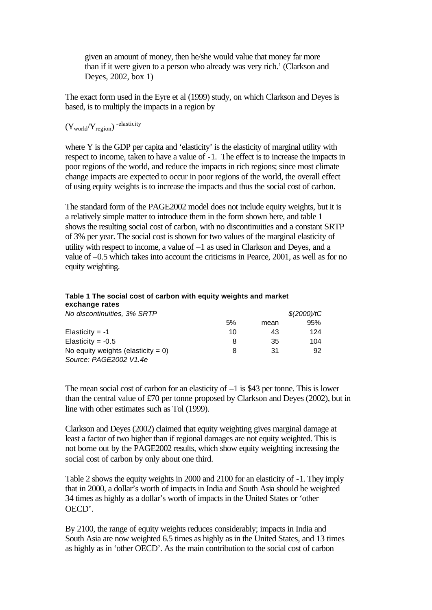given an amount of money, then he/she would value that money far more than if it were given to a person who already was very rich.' (Clarkson and Deyes, 2002, box 1)

The exact form used in the Eyre et al (1999) study, on which Clarkson and Deyes is based, is to multiply the impacts in a region by

# $(Y<sub>world</sub>/Y<sub>region</sub>)$  -elasticity

where Y is the GDP per capita and 'elasticity' is the elasticity of marginal utility with respect to income, taken to have a value of -1. The effect is to increase the impacts in poor regions of the world, and reduce the impacts in rich regions; since most climate change impacts are expected to occur in poor regions of the world, the overall effect of using equity weights is to increase the impacts and thus the social cost of carbon.

The standard form of the PAGE2002 model does not include equity weights, but it is a relatively simple matter to introduce them in the form shown here, and table 1 shows the resulting social cost of carbon, with no discontinuities and a constant SRTP of 3% per year. The social cost is shown for two values of the marginal elasticity of utility with respect to income, a value of –1 as used in Clarkson and Deyes, and a value of –0.5 which takes into account the criticisms in Pearce, 2001, as well as for no equity weighting.

#### **Table 1 The social cost of carbon with equity weights and market exchange rates**

| No discontinuities, 3% SRTP           |    |      | \$(2000)/tC |
|---------------------------------------|----|------|-------------|
|                                       | 5% | mean | 95%         |
| Elasticity = $-1$                     | 10 | 43   | 124         |
| Elasticity = $-0.5$                   | 8  | 35   | 104         |
| No equity weights (elasticity = $0$ ) | 8  | 31   | 92          |
| Source: PAGE2002 V1.4e                |    |      |             |

The mean social cost of carbon for an elasticity of  $-1$  is \$43 per tonne. This is lower than the central value of £70 per tonne proposed by Clarkson and Deyes (2002), but in line with other estimates such as Tol (1999).

Clarkson and Deyes (2002) claimed that equity weighting gives marginal damage at least a factor of two higher than if regional damages are not equity weighted. This is not borne out by the PAGE2002 results, which show equity weighting increasing the social cost of carbon by only about one third.

Table 2 shows the equity weights in 2000 and 2100 for an elasticity of -1. They imply that in 2000, a dollar's worth of impacts in India and South Asia should be weighted 34 times as highly as a dollar's worth of impacts in the United States or 'other OECD'.

By 2100, the range of equity weights reduces considerably; impacts in India and South Asia are now weighted 6.5 times as highly as in the United States, and 13 times as highly as in 'other OECD'. As the main contribution to the social cost of carbon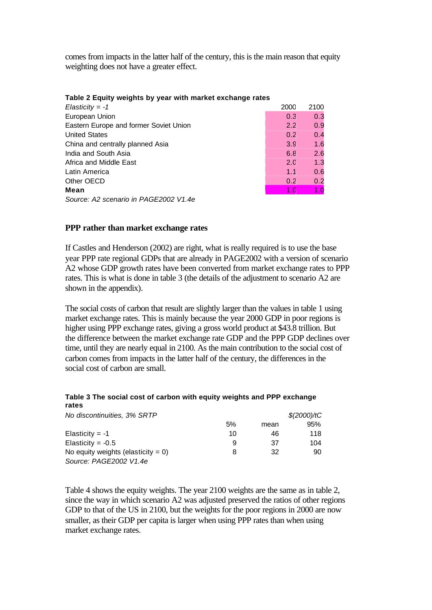comes from impacts in the latter half of the century, this is the main reason that equity weighting does not have a greater effect.

| Table 2 Lyully Weights by year with market exchange rates |      |      |
|-----------------------------------------------------------|------|------|
| $E$ lasticity = -1                                        | 2000 | 2100 |
| European Union                                            | 0.3  | 0.3  |
| Eastern Europe and former Soviet Union                    | 2.2  | 0.9  |
| <b>United States</b>                                      | 0.2  | 0.4  |
| China and centrally planned Asia                          | 3.9  | 1.6  |
| India and South Asia                                      | 6.8  | 2.6  |
| Africa and Middle East                                    | 2.0  | 1.3  |
| Latin America                                             | 1.1  | 0.6  |
| Other OECD                                                | 0.2  | 0.2  |
| Mean                                                      | 1.0  | 1.0  |
| Source: A2 scenario in PAGE2002 V1.4e                     |      |      |

#### **Table 2 Equity weights by year with market exchange rates**

#### **PPP rather than market exchange rates**

If Castles and Henderson (2002) are right, what is really required is to use the base year PPP rate regional GDPs that are already in PAGE2002 with a version of scenario A2 whose GDP growth rates have been converted from market exchange rates to PPP rates. This is what is done in table 3 (the details of the adjustment to scenario A2 are shown in the appendix).

The social costs of carbon that result are slightly larger than the values in table 1 using market exchange rates. This is mainly because the year 2000 GDP in poor regions is higher using PPP exchange rates, giving a gross world product at \$43.8 trillion. But the difference between the market exchange rate GDP and the PPP GDP declines over time, until they are nearly equal in 2100. As the main contribution to the social cost of carbon comes from impacts in the latter half of the century, the differences in the social cost of carbon are small.

#### **Table 3 The social cost of carbon with equity weights and PPP exchange rates**

| No discontinuities, 3% SRTP           |    |      | \$(2000)/tC |
|---------------------------------------|----|------|-------------|
|                                       | 5% | mean | 95%         |
| Elasticity = $-1$                     | 10 | 46   | 118         |
| Elasticity = $-0.5$                   | 9  | 37   | 104         |
| No equity weights (elasticity = $0$ ) | 8  | 32   | 90          |
| Source: PAGE2002 V1.4e                |    |      |             |

Table 4 shows the equity weights. The year 2100 weights are the same as in table 2, since the way in which scenario A2 was adjusted preserved the ratios of other regions GDP to that of the US in 2100, but the weights for the poor regions in 2000 are now smaller, as their GDP per capita is larger when using PPP rates than when using market exchange rates.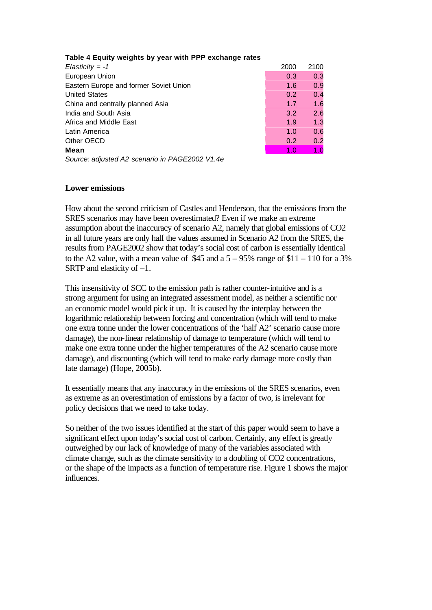| Table 4 Equity weights by year with PPP exchange rates |  |  |  |  |  |  |  |  |
|--------------------------------------------------------|--|--|--|--|--|--|--|--|
|--------------------------------------------------------|--|--|--|--|--|--|--|--|

| Elasticity $= -1$                      | 2000 | 2100 |
|----------------------------------------|------|------|
| European Union                         | 0.3  | 0.3  |
| Eastern Europe and former Soviet Union | 1.6  | 0.9  |
| <b>United States</b>                   | 0.2  | 0.4  |
| China and centrally planned Asia       | 1.7  | 1.6  |
| India and South Asia                   | 3.2  | 2.6  |
| Africa and Middle East                 | 1.9  | 1.3  |
| Latin America                          | 1.0  | 0.6  |
| Other OECD                             | 0.2  | 0.2  |
| Mean                                   | 1.0  | 1.0  |

*Source: adjusted A2 scenario in PAGE2002 V1.4e*

#### **Lower emissions**

How about the second criticism of Castles and Henderson, that the emissions from the SRES scenarios may have been overestimated? Even if we make an extreme assumption about the inaccuracy of scenario A2, namely that global emissions of CO2 in all future years are only half the values assumed in Scenario A2 from the SRES, the results from PAGE2002 show that today's social cost of carbon is essentially identical to the A2 value, with a mean value of \$45 and a  $5 - 95\%$  range of \$11 – 110 for a 3% SRTP and elasticity of –1.

This insensitivity of SCC to the emission path is rather counter-intuitive and is a strong argument for using an integrated assessment model, as neither a scientific nor an economic model would pick it up. It is caused by the interplay between the logarithmic relationship between forcing and concentration (which will tend to make one extra tonne under the lower concentrations of the 'half A2' scenario cause more damage), the non-linear relationship of damage to temperature (which will tend to make one extra tonne under the higher temperatures of the A2 scenario cause more damage), and discounting (which will tend to make early damage more costly than late damage) (Hope, 2005b).

It essentially means that any inaccuracy in the emissions of the SRES scenarios, even as extreme as an overestimation of emissions by a factor of two, is irrelevant for policy decisions that we need to take today.

So neither of the two issues identified at the start of this paper would seem to have a significant effect upon today's social cost of carbon. Certainly, any effect is greatly outweighed by our lack of knowledge of many of the variables associated with climate change, such as the climate sensitivity to a doubling of CO2 concentrations, or the shape of the impacts as a function of temperature rise. Figure 1 shows the major influences.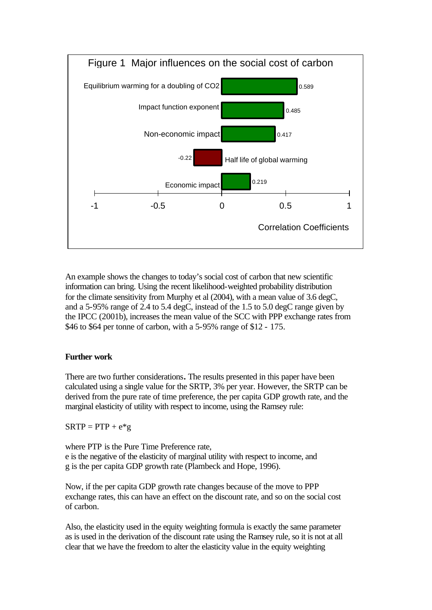

An example shows the changes to today's social cost of carbon that new scientific information can bring. Using the recent likelihood-weighted probability distribution for the climate sensitivity from Murphy et al (2004), with a mean value of 3.6 degC, and a 5-95% range of 2.4 to 5.4 degC, instead of the 1.5 to 5.0 degC range given by the IPCC (2001b), increases the mean value of the SCC with PPP exchange rates from \$46 to \$64 per tonne of carbon, with a 5-95% range of \$12 - 175.

## **Further work**

There are two further considerations**.** The results presented in this paper have been calculated using a single value for the SRTP, 3% per year. However, the SRTP can be derived from the pure rate of time preference, the per capita GDP growth rate, and the marginal elasticity of utility with respect to income, using the Ramsey rule:

 $SRTP = PTP + e^*g$ 

where PTP is the Pure Time Preference rate, e is the negative of the elasticity of marginal utility with respect to income, and g is the per capita GDP growth rate (Plambeck and Hope, 1996).

Now, if the per capita GDP growth rate changes because of the move to PPP exchange rates, this can have an effect on the discount rate, and so on the social cost of carbon.

Also, the elasticity used in the equity weighting formula is exactly the same parameter as is used in the derivation of the discount rate using the Ramsey rule, so it is not at all clear that we have the freedom to alter the elasticity value in the equity weighting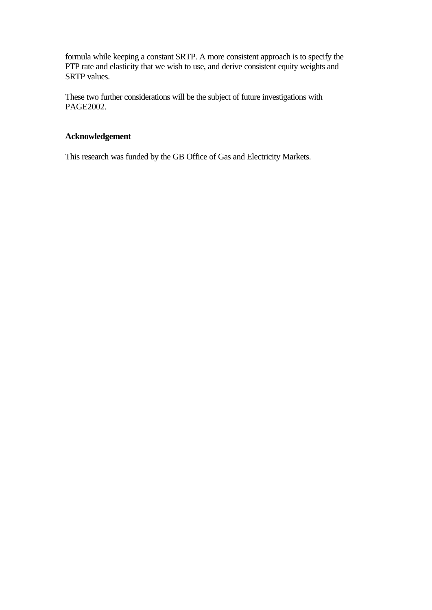formula while keeping a constant SRTP. A more consistent approach is to specify the PTP rate and elasticity that we wish to use, and derive consistent equity weights and SRTP values.

These two further considerations will be the subject of future investigations with PAGE2002.

## **Acknowledgement**

This research was funded by the GB Office of Gas and Electricity Markets.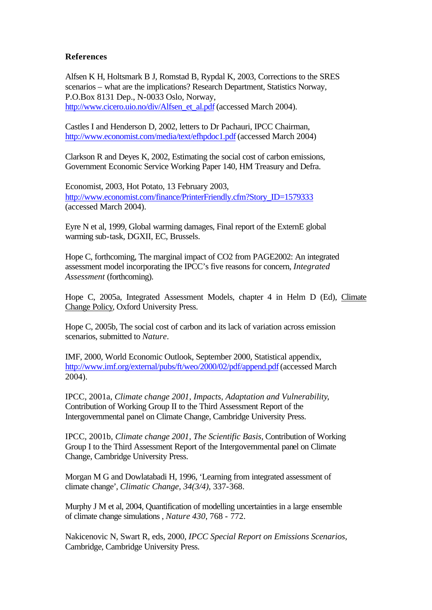#### **References**

Alfsen K H, Holtsmark B J, Romstad B, Rypdal K, 2003, Corrections to the SRES scenarios – what are the implications? Research Department, Statistics Norway, P.O.Box 8131 Dep., N-0033 Oslo, Norway, http://www.cicero.uio.no/div/Alfsen\_et\_al.pdf (accessed March 2004).

Castles I and Henderson D, 2002, letters to Dr Pachauri, IPCC Chairman, http://www.economist.com/media/text/efhpdoc1.pdf (accessed March 2004)

Clarkson R and Deyes K, 2002, Estimating the social cost of carbon emissions, Government Economic Service Working Paper 140, HM Treasury and Defra.

Economist, 2003, Hot Potato, 13 February 2003, http://www.economist.com/finance/PrinterFriendly.cfm?Story\_ID=1579333 (accessed March 2004).

Eyre N et al, 1999, Global warming damages, Final report of the ExternE global warming sub-task, DGXII, EC, Brussels.

Hope C, forthcoming, The marginal impact of CO2 from PAGE2002: An integrated assessment model incorporating the IPCC's five reasons for concern, *Integrated Assessment* (forthcoming).

Hope C, 2005a, Integrated Assessment Models, chapter 4 in Helm D (Ed), Climate Change Policy, Oxford University Press.

Hope C, 2005b, The social cost of carbon and its lack of variation across emission scenarios, submitted to *Nature*.

IMF, 2000, World Economic Outlook, September 2000, Statistical appendix, http://www.imf.org/external/pubs/ft/weo/2000/02/pdf/append.pdf (accessed March 2004).

IPCC, 2001a, *Climate change 2001, Impacts, Adaptation and Vulnerability*, Contribution of Working Group II to the Third Assessment Report of the Intergovernmental panel on Climate Change, Cambridge University Press.

IPCC, 2001b, *Climate change 2001, The Scientific Basis*, Contribution of Working Group I to the Third Assessment Report of the Intergovernmental panel on Climate Change, Cambridge University Press.

Morgan M G and Dowlatabadi H, 1996, 'Learning from integrated assessment of climate change', *Climatic Change, 34(3/4)*, 337-368.

Murphy J M et al, 2004, Quantification of modelling uncertainties in a large ensemble of climate change simulations , *Nature 430*, 768 - 772.

Nakicenovic N, Swart R, eds, 2000, *IPCC Special Report on Emissions Scenarios*, Cambridge, Cambridge University Press.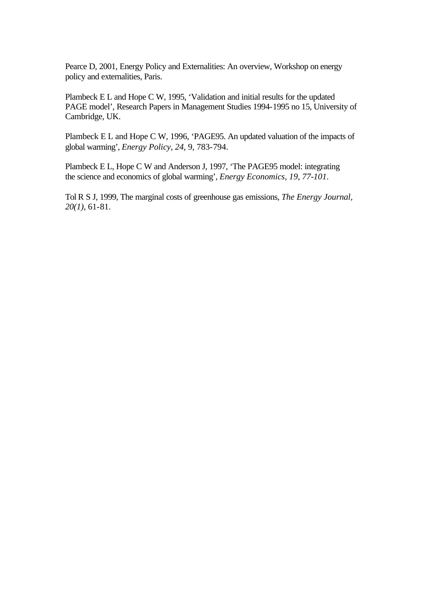Pearce D, 2001, Energy Policy and Externalities: An overview, Workshop on energy policy and externalities, Paris.

Plambeck E L and Hope C W, 1995, 'Validation and initial results for the updated PAGE model', Research Papers in Management Studies 1994-1995 no 15, University of Cambridge, UK.

Plambeck E L and Hope C W, 1996, 'PAGE95. An updated valuation of the impacts of global warming', *Energy Policy, 24*, 9, 783-794.

Plambeck E L, Hope C W and Anderson J, 1997, 'The PAGE95 model: integrating the science and economics of global warming', *Energy Economics, 19, 77-101*.

Tol R S J, 1999, The marginal costs of greenhouse gas emissions, *The Energy Journal, 20(1)*, 61-81.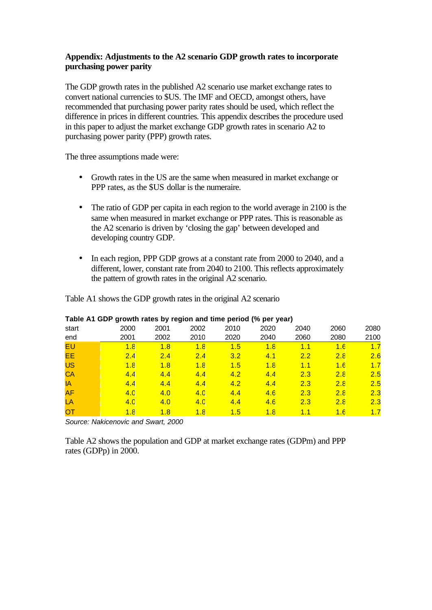## **Appendix: Adjustments to the A2 scenario GDP growth rates to incorporate purchasing power parity**

The GDP growth rates in the published A2 scenario use market exchange rates to convert national currencies to \$US. The IMF and OECD, amongst others, have recommended that purchasing power parity rates should be used, which reflect the difference in prices in different countries. This appendix describes the procedure used in this paper to adjust the market exchange GDP growth rates in scenario A2 to purchasing power parity (PPP) growth rates.

The three assumptions made were:

- Growth rates in the US are the same when measured in market exchange or PPP rates, as the \$US dollar is the numeraire.
- The ratio of GDP per capita in each region to the world average in 2100 is the same when measured in market exchange or PPP rates. This is reasonable as the A2 scenario is driven by 'closing the gap' between developed and developing country GDP.
- In each region, PPP GDP grows at a constant rate from 2000 to 2040, and a different, lower, constant rate from 2040 to 2100. This reflects approximately the pattern of growth rates in the original A2 scenario.

| Table A1 GDP growth rates by region and time period (% per year) |      |      |      |      |      |      |      |      |  |  |
|------------------------------------------------------------------|------|------|------|------|------|------|------|------|--|--|
| start                                                            | 2000 | 2001 | 2002 | 2010 | 2020 | 2040 | 2060 | 2080 |  |  |
| end                                                              | 2001 | 2002 | 2010 | 2020 | 2040 | 2060 | 2080 | 2100 |  |  |
| EU                                                               | 1.8  | 1.8  | 1.8  | 1.5  | 1.8  | 1.1  | 1.6  | 1.7  |  |  |
| EE                                                               | 2.4  | 2.4  | 2.4  | 3.2  | 4.1  | 2.2  | 2.8  | 2.6  |  |  |
| <b>US</b>                                                        | 1.8  | 1.8  | 1.8  | 1.5  | 1.8  | 1.1  | 1.6  | 1.7  |  |  |
| CA                                                               | 4.4  | 4.4  | 4.4  | 4.2  | 4.4  | 2.3  | 2.8  | 2.5  |  |  |
| IA                                                               | 4.4  | 4.4  | 4.4  | 4.2  | 4.4  | 2.3  | 2.8  | 2.5  |  |  |
| AF                                                               | 4.0  | 4.0  | 4.0  | 4.4  | 4.6  | 2.3  | 2.8  | 2.3  |  |  |
| LA                                                               | 4.0  | 4.0  | 4.0  | 4.4  | 4.6  | 2.3  | 2.8  | 2.3  |  |  |
| OТ                                                               | 1.8  | 1.8  | 1.8  | 1.5  | 1.8  | 1.1  | 1.6  | 1.7  |  |  |

#### Table A1 shows the GDP growth rates in the original A2 scenario

*Source: Nakicenovic and Swart, 2000*

Table A2 shows the population and GDP at market exchange rates (GDPm) and PPP rates (GDPp) in 2000.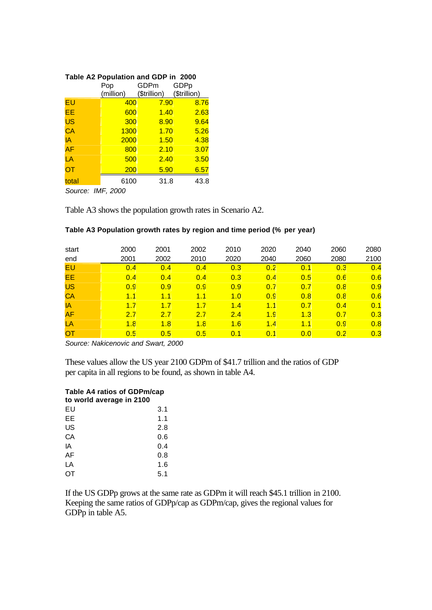|           | Table A2 Population and GDP in 2000<br>Pop<br>(million) | GDPm<br>(\$trillion) | GDPp<br>(\$trillion) |
|-----------|---------------------------------------------------------|----------------------|----------------------|
| EU        | 400                                                     | 7.90                 | 8.76                 |
| ΕF        | 600                                                     | 1.40                 | 2.63                 |
| <b>US</b> | 300                                                     | 8.90                 | 9.64                 |
| СA        | <b>1300</b>                                             | 1.70                 | 5.26                 |
| IA        | 2000                                                    | 1.50                 | 4.38                 |
| AF        | 800                                                     | 2.10                 | 3.07                 |
| LA        | 500                                                     | 2.40                 | 3.50                 |
| OT        | 200                                                     | 5.90                 | 6.57                 |
| total     | 6100                                                    | 31.8                 | 43.8                 |

*Source: IMF, 2000*

Table A3 shows the population growth rates in Scenario A2.

| start     | 2000 | 2001             | 2002 | 2010 | 2020 | 2040 | 2060 | 2080 |
|-----------|------|------------------|------|------|------|------|------|------|
| end       | 2001 | 2002             | 2010 | 2020 | 2040 | 2060 | 2080 | 2100 |
| <b>EU</b> | 0.4  | 0.4              | 0.4  | 0.3  | 0.2  | 0.1  | 0.3  | 0.4  |
| <b>EE</b> | 0.4  | 0.4              | 0.4  | 0.3  | 0.4  | 0.5  | 0.6  | 0.6  |
| <b>US</b> | 0.9  | 0.9              | 0.9  | 0.9  | 0.7  | 0.7  | 0.8  | 0.9  |
| CA        | 1.1  | 1.1              | 1.1  | 1.0  | 0.9  | 0.8  | 0.8  | 0.6  |
| <b>IA</b> | 1.7  | 1.7              | 1.7  | 1.4  | 1.1  | 0.7  | 0.4  | 0.1  |
| AF        | 2.7  | 2.7 <sub>2</sub> | 2.7  | 2.4  | 1.9  | 1.3  | 0.7  | 0.3  |
| LA        | 1.8  | 1.8              | 1.8  | 1.6  | 1.4  | 1.1  | 0.9  | 0.8  |
| ЮT        | 0.5  | 0.5              | 0.5  | 0.1  | 0.1  | 0.0  | 0.2  | 0.3  |

#### **Table A3 Population growth rates by region and time period (% per year)**

*Source: Nakicenovic and Swart, 2000*

These values allow the US year 2100 GDPm of \$41.7 trillion and the ratios of GDP per capita in all regions to be found, as shown in table A4.

## **Table A4 ratios of GDPm/cap**

| to world average in 2100 |     |
|--------------------------|-----|
| EU                       | 3.1 |
| EЕ                       | 1.1 |
| US                       | 2.8 |
| CA                       | 0.6 |
| IA                       | 0.4 |
| AF                       | 0.8 |
| LA                       | 1.6 |
| OT                       | 5.1 |

If the US GDPp grows at the same rate as GDPm it will reach \$45.1 trillion in 2100. Keeping the same ratios of GDPp/cap as GDPm/cap, gives the regional values for GDPp in table A5.